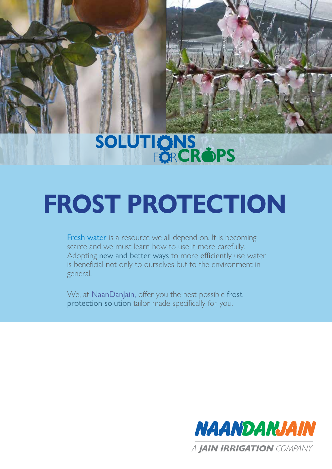## FÖR**CROPS SOLUTIÖNS**

# **FROST PROTECTION**

Fresh water is a resource we all depend on. It is becoming scarce and we must learn how to use it more carefully. Adopting new and better ways to more efficiently use water is beneficial not only to ourselves but to the environment in general.

We, at NaanDanJain, offer you the best possible frost protection solution tailor made specifically for you.

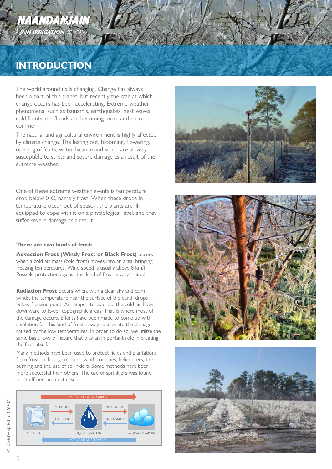## NAANDANJAIN **JAIN IRRIGATION** COMPAN

## **INTRODUCTION**

The world around us is changing. Change has always been a part of this planet, but recently the rate at which change occurs has been accelerating. Extreme weather phenomena, such as tsunamis, earthquakes, heat waves, cold fronts and floods are becoming more and more common.

The natural and agricultural environment is highly affected by climate change. The leafing out, blooming, flowering, ripening of fruits, water balance and so on are all very susceptible to stress and severe damage as a result of the extreme weather.

One of these extreme weather events is temperature drop below 0˚C, namely frost. When these drops in temperature occur out of season, the plants are illequipped to cope with it on a physiological level, and they suffer severe damage as a result.

#### **There are two kinds of frost:**

**Advection Frost (Windy Frost or Black Frost)** occurs when a cold air mass (cold front) moves into an area, bringing freezing temperatures. Wind speed is usually above 8 km/h. Possible protection against this kind of frost is very limited.

**Radiation Frost** occurs when, with a clear sky and calm winds, the temperature near the surface of the earth drops below freezing point. As temperatures drop, the cold air flows downward to lower topographic areas. That is where most of the damage occurs. Efforts have been made to come up with a solution for this kind of frost; a way to alleviate the damage caused by the low temperatures. In order to do so, we utilize the same basic laws of nature that play an important role in creating the frost itself.

Many methods have been used to protect fields and plantations from frost, including smokers, wind machines, helicopters, tire burning and the use of sprinklers. Some methods have been more successful than others. The use of sprinklers was found most efficient in most cases.







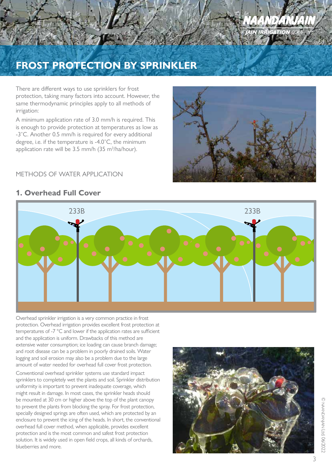

## **FROST PROTECTION BY SPRINKLER**

There are different ways to use sprinklers for frost protection, taking many factors into account. However, the same thermodynamic principles apply to all methods of irrigation:

A minimum application rate of 3.0 mm/h is required. This is enough to provide protection at temperatures as low as -3˚C. Another 0.5 mm/h is required for every additional degree, i.e. if the temperature is -4.0˚C, the minimum application rate will be 3.5 mm/h (35 m<sup>3</sup>/ha/hour).

#### METHODS OF WATER APPLICATION



#### **1. Overhead Full Cover**



Overhead sprinkler irrigation is a very common practice in frost protection. Overhead irrigation provides excellent frost protection at temperatures of -7 °C and lower if the application rates are sufficient and the application is uniform. Drawbacks of this method are extensive water consumption; ice loading can cause branch damage; and root disease can be a problem in poorly drained soils. Water logging and soil erosion may also be a problem due to the large amount of water needed for overhead full cover frost protection.

Conventional overhead sprinkler systems use standard impact sprinklers to completely wet the plants and soil. Sprinkler distribution uniformity is important to prevent inadequate coverage, which might result in damage. In most cases, the sprinkler heads should be mounted at 30 cm or higher above the top of the plant canopy to prevent the plants from blocking the spray. For frost protection, specially designed springs are often used, which are protected by an enclosure to prevent the icing of the heads. In short, the conventional overhead full cover method, when applicable, provides excellent protection and is the most common and safest frost protection solution. It is widely used in open field crops, all kinds of orchards, blueberries and more.

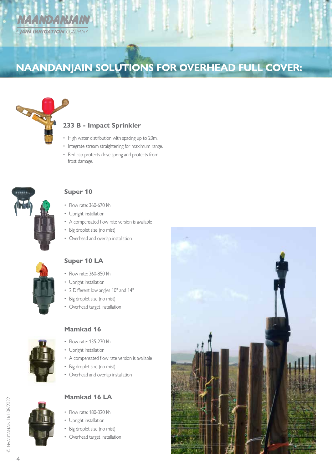

## **NAANDANJAIN SOLUTIONS FOR OVERHEAD FULL COVER:**



#### **233 B - Impact Sprinkler**

- High water distribution with spacing up to 20m.
- Integrate stream straightening for maximum range.
- Red cap protects drive spring and protects from frost damage.



#### **Super 10**

- Flow rate: 360-670 l/h
- Upright installation
- A compensated flow rate version is available
- Big droplet size (no mist)
- Overhead and overlap installation



#### **Super 10 LA**

- Flow rate: 360-850 l/h
- Upright installation
- 2 Different low angles 10° and 14°
- Big droplet size (no mist)
- Overhead target installation



#### **Mamkad 16**

- Flow rate: 135-270 l/h
- Upright installation
- A compensated flow rate version is available
- Big droplet size (no mist)
- Overhead and overlap installation



### • Flow rate: 180-320 l/h **Mamkad 16 LA**

- Upright installation
- Big droplet size (no mist)
- Overhead target installation

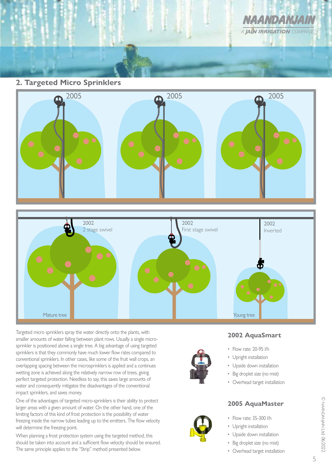

**2. Targeted Micro Sprinklers**





Targeted micro sprinklers spray the water directly onto the plants, with smaller amounts of water falling between plant rows. Usually a single microsprinkler is positioned above a single tree. A big advantage of using targeted sprinklers is that they commonly have much lower flow rates compared to conventional sprinklers. In other cases, like some of the fruit wall crops, an overlapping spacing between the microsprinklers is applied and a continues wetting zone is achieved along the relatively narrow row of trees, giving perfect targeted protection. Needless to say, this saves large amounts of water and consequently mitigates the disadvantages of the conventional impact sprinklers, and saves money.

One of the advantages of targeted micro-sprinklers is their ability to protect larger areas with a given amount of water. On the other hand, one of the limiting factors of this kind of frost protection is the possibility of water freezing inside the narrow tubes leading up to the emitters. The flow velocity will determine the freezing point.

When planning a frost protection system using the targeted method, this should be taken into account and a sufficient flow velocity should be ensured. The same principle applies to the "Strip" method presented below.



#### **2002 AquaSmart**

- Flow rate: 20-95 l/h
- Upright installation
- Upside down installation
- Big droplet size (no mist)
- Overhead target installation

#### **2005 AquaMaster**

- Flow rate: 35-300 l/h
- Upright installation
- Upside down installation
- Big droplet size (no mist)
- Overhead target installation

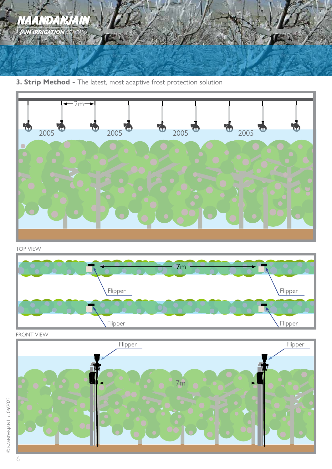

**3. Strip Method -** The latest, most adaptive frost protection solution



TOP VIEW



FRONT VIEW

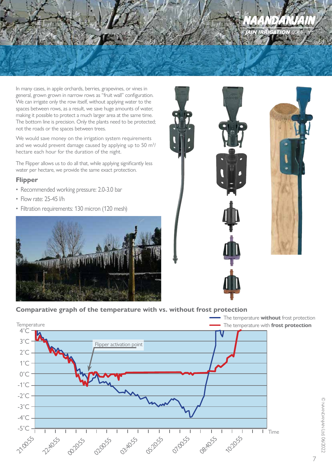In many cases, in apple orchards, berries, grapevines, or vines in general, grown grown in narrow rows as "fruit wall" configuration. We can irrigate only the row itself, without applying water to the spaces between rows, as a result, we save huge amounts of water, making it possible to protect a much larger area at the same time. The bottom line is precision. Only the plants need to be protected; not the roads or the spaces between trees.

We would save money on the irrigation system requirements and we would prevent damage caused by applying up to 50  $\mathrm{m}^{3}\mathrm{/}$ hectare each hour for the duration of the night.

The Flipper allows us to do all that, while applying significantly less water per hectare, we provide the same exact protection.

#### **Flipper**

- Recommended working pressure: 2.0-3.0 bar
- Flow rate: 25-45 l/h
- Filtration requirements: 130 micron (120 mesh)